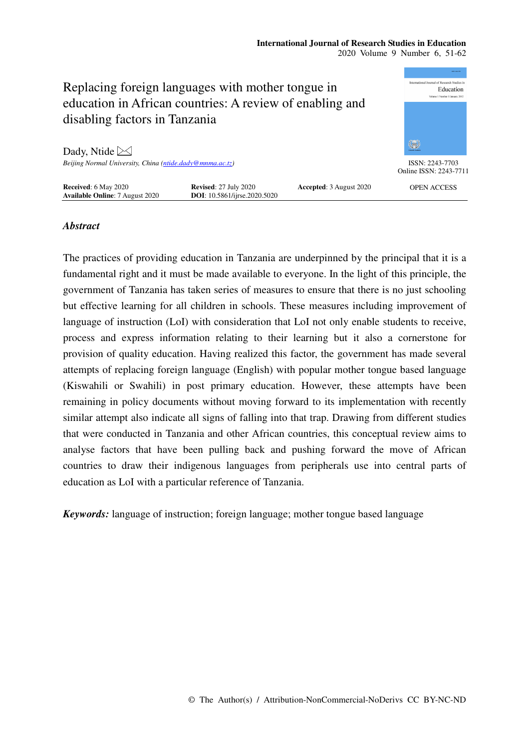

# *Abstract*

The practices of providing education in Tanzania are underpinned by the principal that it is a fundamental right and it must be made available to everyone. In the light of this principle, the government of Tanzania has taken series of measures to ensure that there is no just schooling but effective learning for all children in schools. These measures including improvement of language of instruction (LoI) with consideration that LoI not only enable students to receive, process and express information relating to their learning but it also a cornerstone for provision of quality education. Having realized this factor, the government has made several attempts of replacing foreign language (English) with popular mother tongue based language (Kiswahili or Swahili) in post primary education. However, these attempts have been remaining in policy documents without moving forward to its implementation with recently similar attempt also indicate all signs of falling into that trap. Drawing from different studies that were conducted in Tanzania and other African countries, this conceptual review aims to analyse factors that have been pulling back and pushing forward the move of African countries to draw their indigenous languages from peripherals use into central parts of education as LoI with a particular reference of Tanzania.

*Keywords:* language of instruction; foreign language; mother tongue based language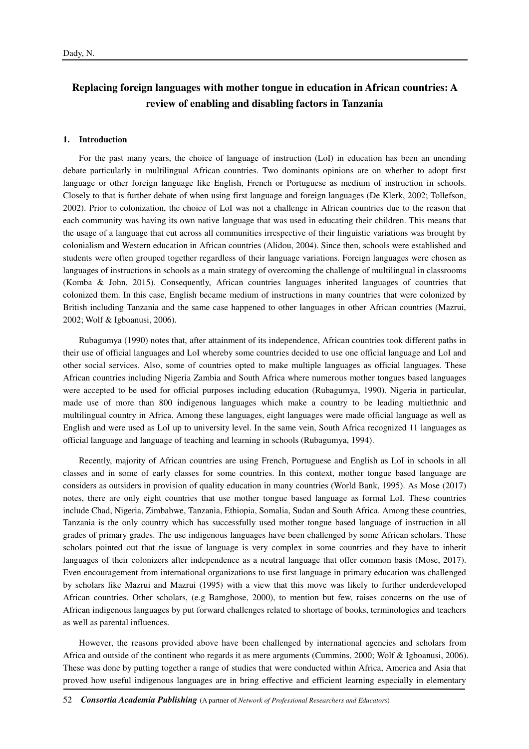# **Replacing foreign languages with mother tongue in education in African countries: A review of enabling and disabling factors in Tanzania**

#### **1. Introduction**

For the past many years, the choice of language of instruction (LoI) in education has been an unending debate particularly in multilingual African countries. Two dominants opinions are on whether to adopt first language or other foreign language like English, French or Portuguese as medium of instruction in schools. Closely to that is further debate of when using first language and foreign languages (De Klerk, 2002; Tollefson, 2002). Prior to colonization, the choice of LoI was not a challenge in African countries due to the reason that each community was having its own native language that was used in educating their children. This means that the usage of a language that cut across all communities irrespective of their linguistic variations was brought by colonialism and Western education in African countries (Alidou, 2004). Since then, schools were established and students were often grouped together regardless of their language variations. Foreign languages were chosen as languages of instructions in schools as a main strategy of overcoming the challenge of multilingual in classrooms (Komba & John, 2015). Consequently, African countries languages inherited languages of countries that colonized them. In this case, English became medium of instructions in many countries that were colonized by British including Tanzania and the same case happened to other languages in other African countries (Mazrui, 2002; Wolf & Igboanusi, 2006).

Rubagumya (1990) notes that, after attainment of its independence, African countries took different paths in their use of official languages and LoI whereby some countries decided to use one official language and LoI and other social services. Also, some of countries opted to make multiple languages as official languages. These African countries including Nigeria Zambia and South Africa where numerous mother tongues based languages were accepted to be used for official purposes including education (Rubagumya, 1990). Nigeria in particular, made use of more than 800 indigenous languages which make a country to be leading multiethnic and multilingual country in Africa. Among these languages, eight languages were made official language as well as English and were used as LoI up to university level. In the same vein, South Africa recognized 11 languages as official language and language of teaching and learning in schools (Rubagumya, 1994).

Recently, majority of African countries are using French, Portuguese and English as LoI in schools in all classes and in some of early classes for some countries. In this context, mother tongue based language are considers as outsiders in provision of quality education in many countries (World Bank, 1995). As Mose (2017) notes, there are only eight countries that use mother tongue based language as formal LoI. These countries include Chad, Nigeria, Zimbabwe, Tanzania, Ethiopia, Somalia, Sudan and South Africa. Among these countries, Tanzania is the only country which has successfully used mother tongue based language of instruction in all grades of primary grades. The use indigenous languages have been challenged by some African scholars. These scholars pointed out that the issue of language is very complex in some countries and they have to inherit languages of their colonizers after independence as a neutral language that offer common basis (Mose, 2017). Even encouragement from international organizations to use first language in primary education was challenged by scholars like Mazrui and Mazrui (1995) with a view that this move was likely to further underdeveloped African countries. Other scholars, (e.g Bamghose, 2000), to mention but few, raises concerns on the use of African indigenous languages by put forward challenges related to shortage of books, terminologies and teachers as well as parental influences.

However, the reasons provided above have been challenged by international agencies and scholars from Africa and outside of the continent who regards it as mere arguments (Cummins, 2000; Wolf & Igboanusi, 2006). These was done by putting together a range of studies that were conducted within Africa, America and Asia that proved how useful indigenous languages are in bring effective and efficient learning especially in elementary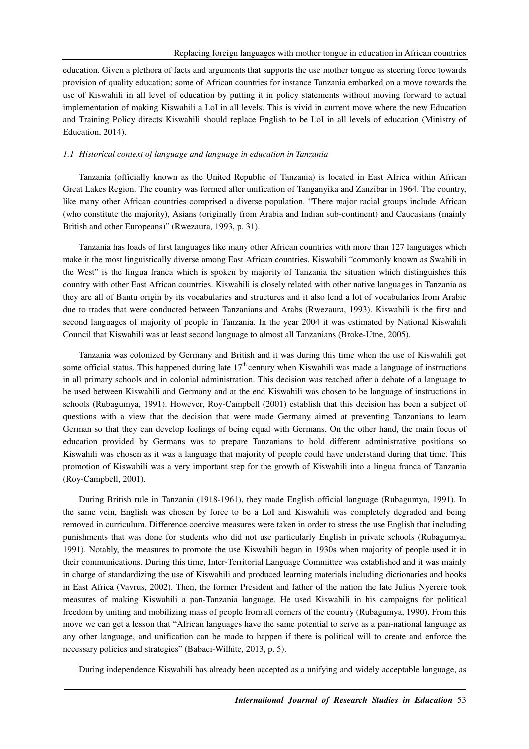education. Given a plethora of facts and arguments that supports the use mother tongue as steering force towards provision of quality education; some of African countries for instance Tanzania embarked on a move towards the use of Kiswahili in all level of education by putting it in policy statements without moving forward to actual implementation of making Kiswahili a LoI in all levels. This is vivid in current move where the new Education and Training Policy directs Kiswahili should replace English to be LoI in all levels of education (Ministry of Education, 2014).

## *1.1 Historical context of language and language in education in Tanzania*

Tanzania (officially known as the United Republic of Tanzania) is located in East Africa within African Great Lakes Region. The country was formed after unification of Tanganyika and Zanzibar in 1964. The country, like many other African countries comprised a diverse population. "There major racial groups include African (who constitute the majority), Asians (originally from Arabia and Indian sub-continent) and Caucasians (mainly British and other Europeans)" (Rwezaura, 1993, p. 31).

Tanzania has loads of first languages like many other African countries with more than 127 languages which make it the most linguistically diverse among East African countries. Kiswahili "commonly known as Swahili in the West" is the lingua franca which is spoken by majority of Tanzania the situation which distinguishes this country with other East African countries. Kiswahili is closely related with other native languages in Tanzania as they are all of Bantu origin by its vocabularies and structures and it also lend a lot of vocabularies from Arabic due to trades that were conducted between Tanzanians and Arabs (Rwezaura, 1993). Kiswahili is the first and second languages of majority of people in Tanzania. In the year 2004 it was estimated by National Kiswahili Council that Kiswahili was at least second language to almost all Tanzanians (Broke-Utne, 2005).

Tanzania was colonized by Germany and British and it was during this time when the use of Kiswahili got some official status. This happened during late  $17<sup>th</sup>$  century when Kiswahili was made a language of instructions in all primary schools and in colonial administration. This decision was reached after a debate of a language to be used between Kiswahili and Germany and at the end Kiswahili was chosen to be language of instructions in schools (Rubagumya, 1991). However, Roy-Campbell (2001) establish that this decision has been a subject of questions with a view that the decision that were made Germany aimed at preventing Tanzanians to learn German so that they can develop feelings of being equal with Germans. On the other hand, the main focus of education provided by Germans was to prepare Tanzanians to hold different administrative positions so Kiswahili was chosen as it was a language that majority of people could have understand during that time. This promotion of Kiswahili was a very important step for the growth of Kiswahili into a lingua franca of Tanzania (Roy-Campbell, 2001).

During British rule in Tanzania (1918-1961), they made English official language (Rubagumya, 1991). In the same vein, English was chosen by force to be a LoI and Kiswahili was completely degraded and being removed in curriculum. Difference coercive measures were taken in order to stress the use English that including punishments that was done for students who did not use particularly English in private schools (Rubagumya, 1991). Notably, the measures to promote the use Kiswahili began in 1930s when majority of people used it in their communications. During this time, Inter-Territorial Language Committee was established and it was mainly in charge of standardizing the use of Kiswahili and produced learning materials including dictionaries and books in East Africa (Vavrus, 2002). Then, the former President and father of the nation the late Julius Nyerere took measures of making Kiswahili a pan-Tanzania language. He used Kiswahili in his campaigns for political freedom by uniting and mobilizing mass of people from all corners of the country (Rubagumya, 1990). From this move we can get a lesson that "African languages have the same potential to serve as a pan-national language as any other language, and unification can be made to happen if there is political will to create and enforce the necessary policies and strategies" (Babaci-Wilhite, 2013, p. 5).

During independence Kiswahili has already been accepted as a unifying and widely acceptable language, as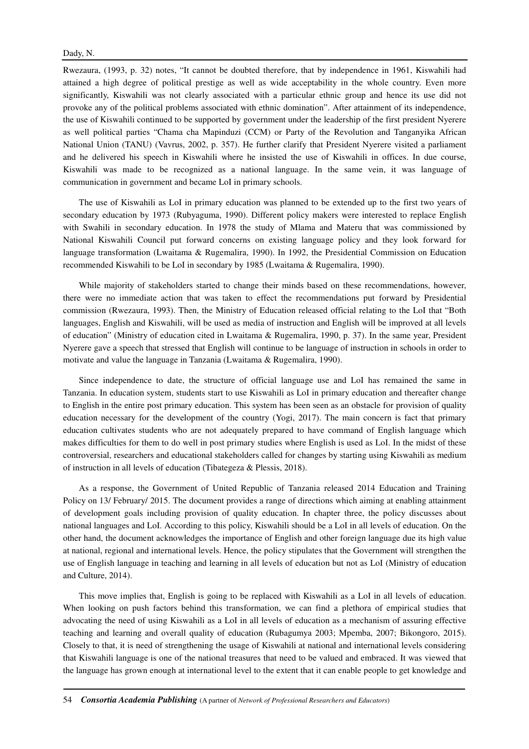Rwezaura, (1993, p. 32) notes, "It cannot be doubted therefore, that by independence in 1961, Kiswahili had attained a high degree of political prestige as well as wide acceptability in the whole country. Even more significantly, Kiswahili was not clearly associated with a particular ethnic group and hence its use did not provoke any of the political problems associated with ethnic domination". After attainment of its independence, the use of Kiswahili continued to be supported by government under the leadership of the first president Nyerere as well political parties "Chama cha Mapinduzi (CCM) or Party of the Revolution and Tanganyika African National Union (TANU) (Vavrus, 2002, p. 357). He further clarify that President Nyerere visited a parliament and he delivered his speech in Kiswahili where he insisted the use of Kiswahili in offices. In due course, Kiswahili was made to be recognized as a national language. In the same vein, it was language of communication in government and became LoI in primary schools.

The use of Kiswahili as LoI in primary education was planned to be extended up to the first two years of secondary education by 1973 (Rubyaguma, 1990). Different policy makers were interested to replace English with Swahili in secondary education. In 1978 the study of Mlama and Materu that was commissioned by National Kiswahili Council put forward concerns on existing language policy and they look forward for language transformation (Lwaitama & Rugemalira, 1990). In 1992, the Presidential Commission on Education recommended Kiswahili to be LoI in secondary by 1985 (Lwaitama & Rugemalira, 1990).

While majority of stakeholders started to change their minds based on these recommendations, however, there were no immediate action that was taken to effect the recommendations put forward by Presidential commission (Rwezaura, 1993). Then, the Ministry of Education released official relating to the LoI that "Both languages, English and Kiswahili, will be used as media of instruction and English will be improved at all levels of education" (Ministry of education cited in Lwaitama & Rugemalira, 1990, p. 37). In the same year, President Nyerere gave a speech that stressed that English will continue to be language of instruction in schools in order to motivate and value the language in Tanzania (Lwaitama & Rugemalira, 1990).

Since independence to date, the structure of official language use and LoI has remained the same in Tanzania. In education system, students start to use Kiswahili as LoI in primary education and thereafter change to English in the entire post primary education. This system has been seen as an obstacle for provision of quality education necessary for the development of the country (Yogi, 2017). The main concern is fact that primary education cultivates students who are not adequately prepared to have command of English language which makes difficulties for them to do well in post primary studies where English is used as LoI. In the midst of these controversial, researchers and educational stakeholders called for changes by starting using Kiswahili as medium of instruction in all levels of education (Tibategeza & Plessis, 2018).

As a response, the Government of United Republic of Tanzania released 2014 Education and Training Policy on 13/ February/ 2015. The document provides a range of directions which aiming at enabling attainment of development goals including provision of quality education. In chapter three, the policy discusses about national languages and LoI. According to this policy, Kiswahili should be a LoI in all levels of education. On the other hand, the document acknowledges the importance of English and other foreign language due its high value at national, regional and international levels. Hence, the policy stipulates that the Government will strengthen the use of English language in teaching and learning in all levels of education but not as LoI (Ministry of education and Culture, 2014).

This move implies that, English is going to be replaced with Kiswahili as a LoI in all levels of education. When looking on push factors behind this transformation, we can find a plethora of empirical studies that advocating the need of using Kiswahili as a LoI in all levels of education as a mechanism of assuring effective teaching and learning and overall quality of education (Rubagumya 2003; Mpemba, 2007; Bikongoro, 2015). Closely to that, it is need of strengthening the usage of Kiswahili at national and international levels considering that Kiswahili language is one of the national treasures that need to be valued and embraced. It was viewed that the language has grown enough at international level to the extent that it can enable people to get knowledge and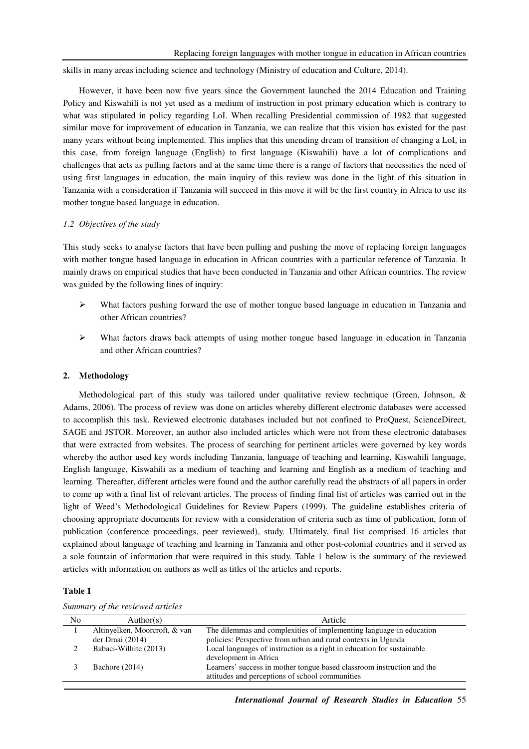skills in many areas including science and technology (Ministry of education and Culture, 2014).

However, it have been now five years since the Government launched the 2014 Education and Training Policy and Kiswahili is not yet used as a medium of instruction in post primary education which is contrary to what was stipulated in policy regarding LoI. When recalling Presidential commission of 1982 that suggested similar move for improvement of education in Tanzania, we can realize that this vision has existed for the past many years without being implemented. This implies that this unending dream of transition of changing a LoI, in this case, from foreign language (English) to first language (Kiswahili) have a lot of complications and challenges that acts as pulling factors and at the same time there is a range of factors that necessities the need of using first languages in education, the main inquiry of this review was done in the light of this situation in Tanzania with a consideration if Tanzania will succeed in this move it will be the first country in Africa to use its mother tongue based language in education.

### *1.2 Objectives of the study*

This study seeks to analyse factors that have been pulling and pushing the move of replacing foreign languages with mother tongue based language in education in African countries with a particular reference of Tanzania. It mainly draws on empirical studies that have been conducted in Tanzania and other African countries. The review was guided by the following lines of inquiry:

- $\triangleright$  What factors pushing forward the use of mother tongue based language in education in Tanzania and other African countries?
- $\triangleright$  What factors draws back attempts of using mother tongue based language in education in Tanzania and other African countries?

### **2. Methodology**

Methodological part of this study was tailored under qualitative review technique (Green, Johnson, & Adams, 2006). The process of review was done on articles whereby different electronic databases were accessed to accomplish this task. Reviewed electronic databases included but not confined to ProQuest, ScienceDirect, SAGE and JSTOR. Moreover, an author also included articles which were not from these electronic databases that were extracted from websites. The process of searching for pertinent articles were governed by key words whereby the author used key words including Tanzania, language of teaching and learning, Kiswahili language, English language, Kiswahili as a medium of teaching and learning and English as a medium of teaching and learning. Thereafter, different articles were found and the author carefully read the abstracts of all papers in order to come up with a final list of relevant articles. The process of finding final list of articles was carried out in the light of Weed's Methodological Guidelines for Review Papers (1999). The guideline establishes criteria of choosing appropriate documents for review with a consideration of criteria such as time of publication, form of publication (conference proceedings, peer reviewed), study. Ultimately, final list comprised 16 articles that explained about language of teaching and learning in Tanzania and other post-colonial countries and it served as a sole fountain of information that were required in this study. Table 1 below is the summary of the reviewed articles with information on authors as well as titles of the articles and reports.

### **Table 1**

| $\sigma$ $\sigma$ |                               |                                                                        |  |
|-------------------|-------------------------------|------------------------------------------------------------------------|--|
| No                | Author(s)                     | Article                                                                |  |
|                   | Altinyelken, Moorcroft, & van | The dilemmas and complexities of implementing language-in education    |  |
|                   | der Draai (2014)              | policies: Perspective from urban and rural contexts in Uganda          |  |
|                   | Babaci-Wilhite (2013)         | Local languages of instruction as a right in education for sustainable |  |
|                   |                               | development in Africa                                                  |  |
|                   | Bachore $(2014)$              | Learners' success in mother tongue based classroom instruction and the |  |
|                   |                               | attitudes and perceptions of school communities                        |  |

*Summary of the reviewed articles*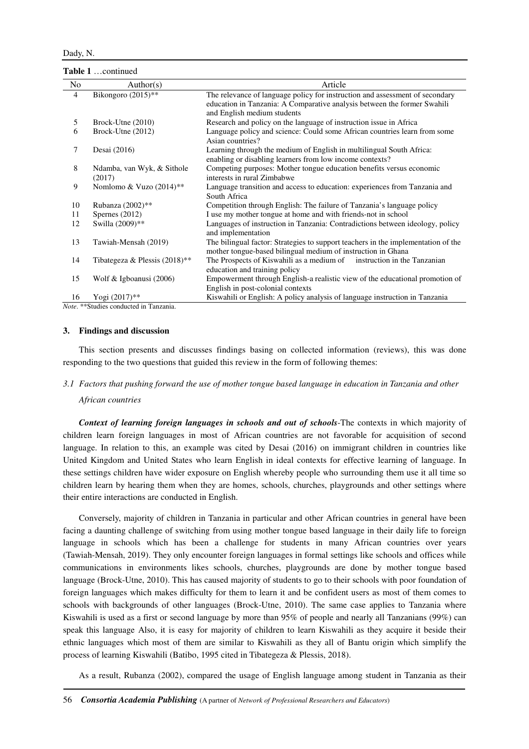**Table 1** …continued

| No             | Author(s)                                                                                                                                                                           | Article                                                                                             |
|----------------|-------------------------------------------------------------------------------------------------------------------------------------------------------------------------------------|-----------------------------------------------------------------------------------------------------|
| $\overline{4}$ | Bikongoro (2015)**                                                                                                                                                                  | The relevance of language policy for instruction and assessment of secondary                        |
|                |                                                                                                                                                                                     | education in Tanzania: A Comparative analysis between the former Swahili                            |
|                |                                                                                                                                                                                     | and English medium students                                                                         |
| 5              | Brock-Utne (2010)                                                                                                                                                                   | Research and policy on the language of instruction issue in Africa                                  |
| 6              | Brock-Utne (2012)                                                                                                                                                                   | Language policy and science: Could some African countries learn from some<br>Asian countries?       |
| 7              | Desai (2016)                                                                                                                                                                        | Learning through the medium of English in multilingual South Africa:                                |
|                |                                                                                                                                                                                     | enabling or disabling learners from low income contexts?                                            |
| 8              | Ndamba, van Wyk, & Sithole                                                                                                                                                          | Competing purposes: Mother tongue education benefits versus economic                                |
|                | (2017)                                                                                                                                                                              | interests in rural Zimbabwe                                                                         |
| 9              | Nomlomo & Vuzo (2014)**                                                                                                                                                             | Language transition and access to education: experiences from Tanzania and                          |
|                |                                                                                                                                                                                     | South Africa                                                                                        |
| 10             | Rubanza (2002)**                                                                                                                                                                    | Competition through English: The failure of Tanzania's language policy                              |
| 11             | Spernes $(2012)$                                                                                                                                                                    | I use my mother tongue at home and with friends-not in school                                       |
| 12             | Swilla (2009)**                                                                                                                                                                     | Languages of instruction in Tanzania: Contradictions between ideology, policy<br>and implementation |
| 13             | Tawiah-Mensah (2019)                                                                                                                                                                | The bilingual factor: Strategies to support teachers in the implementation of the                   |
|                |                                                                                                                                                                                     | mother tongue-based bilingual medium of instruction in Ghana                                        |
| 14             | Tibategeza & Plessis $(2018)$ **                                                                                                                                                    | The Prospects of Kiswahili as a medium of<br>instruction in the Tanzanian                           |
|                |                                                                                                                                                                                     | education and training policy                                                                       |
| 15             | Wolf $&$ Igboanusi (2006)                                                                                                                                                           | Empowerment through English-a realistic view of the educational promotion of                        |
|                |                                                                                                                                                                                     | English in post-colonial contexts                                                                   |
| 16             | Yogi (2017)**<br>$\mathbf{M}$ , $\mathbf{A}$ , $\mathbf{M}$ , $\mathbf{M}$ , $\mathbf{M}$ , $\mathbf{M}$ , $\mathbf{M}$ , $\mathbf{M}$ , $\mathbf{M}$ , $\mathbf{M}$ , $\mathbf{M}$ | Kiswahili or English: A policy analysis of language instruction in Tanzania                         |

*Note*. \*\*Studies conducted in Tanzania.

#### **3. Findings and discussion**

This section presents and discusses findings basing on collected information (reviews), this was done responding to the two questions that guided this review in the form of following themes:

# *3.1 Factors that pushing forward the use of mother tongue based language in education in Tanzania and other*

#### *African countries*

*Context of learning foreign languages in schools and out of schools*-The contexts in which majority of children learn foreign languages in most of African countries are not favorable for acquisition of second language. In relation to this, an example was cited by Desai (2016) on immigrant children in countries like United Kingdom and United States who learn English in ideal contexts for effective learning of language. In these settings children have wider exposure on English whereby people who surrounding them use it all time so children learn by hearing them when they are homes, schools, churches, playgrounds and other settings where their entire interactions are conducted in English.

Conversely, majority of children in Tanzania in particular and other African countries in general have been facing a daunting challenge of switching from using mother tongue based language in their daily life to foreign language in schools which has been a challenge for students in many African countries over years (Tawiah-Mensah, 2019). They only encounter foreign languages in formal settings like schools and offices while communications in environments likes schools, churches, playgrounds are done by mother tongue based language (Brock-Utne, 2010). This has caused majority of students to go to their schools with poor foundation of foreign languages which makes difficulty for them to learn it and be confident users as most of them comes to schools with backgrounds of other languages (Brock-Utne, 2010). The same case applies to Tanzania where Kiswahili is used as a first or second language by more than 95% of people and nearly all Tanzanians (99%) can speak this language Also, it is easy for majority of children to learn Kiswahili as they acquire it beside their ethnic languages which most of them are similar to Kiswahili as they all of Bantu origin which simplify the process of learning Kiswahili (Batibo, 1995 cited in Tibategeza & Plessis, 2018).

As a result, Rubanza (2002), compared the usage of English language among student in Tanzania as their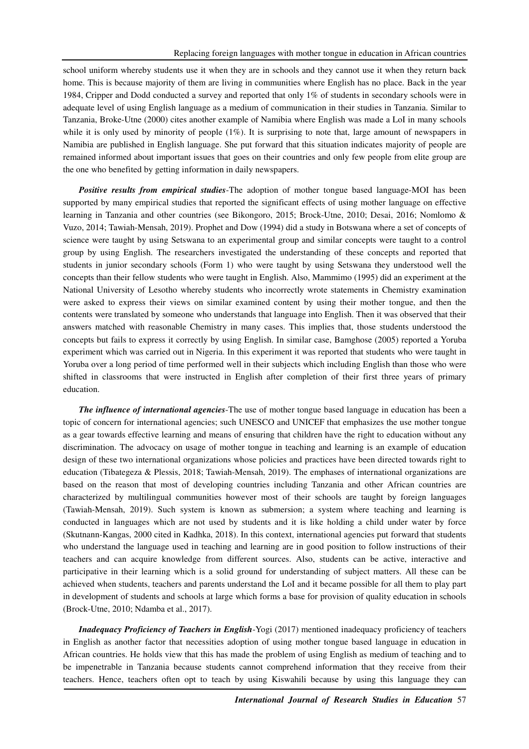school uniform whereby students use it when they are in schools and they cannot use it when they return back home. This is because majority of them are living in communities where English has no place. Back in the year 1984, Cripper and Dodd conducted a survey and reported that only 1% of students in secondary schools were in adequate level of using English language as a medium of communication in their studies in Tanzania. Similar to Tanzania, Broke-Utne (2000) cites another example of Namibia where English was made a LoI in many schools while it is only used by minority of people  $(1\%)$ . It is surprising to note that, large amount of newspapers in Namibia are published in English language. She put forward that this situation indicates majority of people are remained informed about important issues that goes on their countries and only few people from elite group are the one who benefited by getting information in daily newspapers.

*Positive results from empirical studies*-The adoption of mother tongue based language-MOI has been supported by many empirical studies that reported the significant effects of using mother language on effective learning in Tanzania and other countries (see Bikongoro, 2015; Brock-Utne, 2010; Desai, 2016; Nomlomo & Vuzo, 2014; Tawiah-Mensah, 2019). Prophet and Dow (1994) did a study in Botswana where a set of concepts of science were taught by using Setswana to an experimental group and similar concepts were taught to a control group by using English. The researchers investigated the understanding of these concepts and reported that students in junior secondary schools (Form 1) who were taught by using Setswana they understood well the concepts than their fellow students who were taught in English. Also, Mammimo (1995) did an experiment at the National University of Lesotho whereby students who incorrectly wrote statements in Chemistry examination were asked to express their views on similar examined content by using their mother tongue, and then the contents were translated by someone who understands that language into English. Then it was observed that their answers matched with reasonable Chemistry in many cases. This implies that, those students understood the concepts but fails to express it correctly by using English. In similar case, Bamghose (2005) reported a Yoruba experiment which was carried out in Nigeria. In this experiment it was reported that students who were taught in Yoruba over a long period of time performed well in their subjects which including English than those who were shifted in classrooms that were instructed in English after completion of their first three years of primary education.

*The influence of international agencies*-The use of mother tongue based language in education has been a topic of concern for international agencies; such UNESCO and UNICEF that emphasizes the use mother tongue as a gear towards effective learning and means of ensuring that children have the right to education without any discrimination. The advocacy on usage of mother tongue in teaching and learning is an example of education design of these two international organizations whose policies and practices have been directed towards right to education (Tibategeza & Plessis, 2018; Tawiah-Mensah, 2019). The emphases of international organizations are based on the reason that most of developing countries including Tanzania and other African countries are characterized by multilingual communities however most of their schools are taught by foreign languages (Tawiah-Mensah, 2019). Such system is known as submersion; a system where teaching and learning is conducted in languages which are not used by students and it is like holding a child under water by force (Skutnann-Kangas, 2000 cited in Kadhka, 2018). In this context, international agencies put forward that students who understand the language used in teaching and learning are in good position to follow instructions of their teachers and can acquire knowledge from different sources. Also, students can be active, interactive and participative in their learning which is a solid ground for understanding of subject matters. All these can be achieved when students, teachers and parents understand the LoI and it became possible for all them to play part in development of students and schools at large which forms a base for provision of quality education in schools (Brock-Utne, 2010; Ndamba et al., 2017).

*Inadequacy Proficiency of Teachers in English*-Yogi (2017) mentioned inadequacy proficiency of teachers in English as another factor that necessities adoption of using mother tongue based language in education in African countries. He holds view that this has made the problem of using English as medium of teaching and to be impenetrable in Tanzania because students cannot comprehend information that they receive from their teachers. Hence, teachers often opt to teach by using Kiswahili because by using this language they can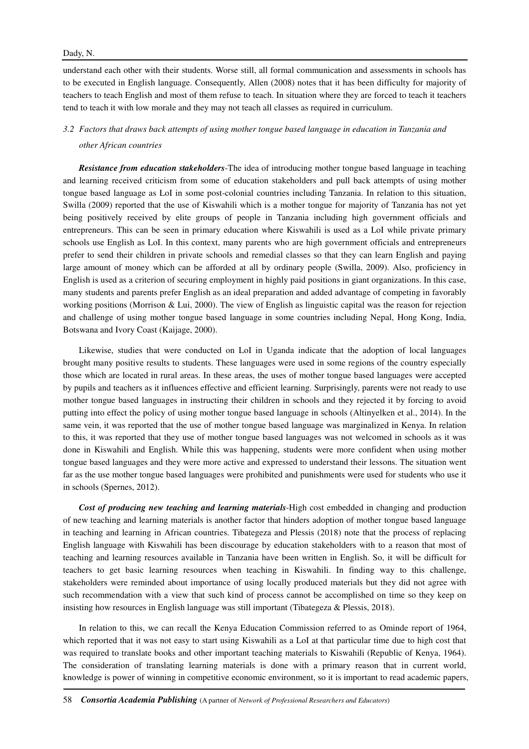### Dady, N.

understand each other with their students. Worse still, all formal communication and assessments in schools has to be executed in English language. Consequently, Allen (2008) notes that it has been difficulty for majority of teachers to teach English and most of them refuse to teach. In situation where they are forced to teach it teachers tend to teach it with low morale and they may not teach all classes as required in curriculum.

# *3.2 Factors that draws back attempts of using mother tongue based language in education in Tanzania and other African countries*

*Resistance from education stakeholders*-The idea of introducing mother tongue based language in teaching and learning received criticism from some of education stakeholders and pull back attempts of using mother tongue based language as LoI in some post-colonial countries including Tanzania. In relation to this situation, Swilla (2009) reported that the use of Kiswahili which is a mother tongue for majority of Tanzania has not yet being positively received by elite groups of people in Tanzania including high government officials and entrepreneurs. This can be seen in primary education where Kiswahili is used as a LoI while private primary schools use English as LoI. In this context, many parents who are high government officials and entrepreneurs prefer to send their children in private schools and remedial classes so that they can learn English and paying large amount of money which can be afforded at all by ordinary people (Swilla, 2009). Also, proficiency in English is used as a criterion of securing employment in highly paid positions in giant organizations. In this case, many students and parents prefer English as an ideal preparation and added advantage of competing in favorably working positions (Morrison & Lui, 2000). The view of English as linguistic capital was the reason for rejection and challenge of using mother tongue based language in some countries including Nepal, Hong Kong, India, Botswana and Ivory Coast (Kaijage, 2000).

Likewise, studies that were conducted on LoI in Uganda indicate that the adoption of local languages brought many positive results to students. These languages were used in some regions of the country especially those which are located in rural areas. In these areas, the uses of mother tongue based languages were accepted by pupils and teachers as it influences effective and efficient learning. Surprisingly, parents were not ready to use mother tongue based languages in instructing their children in schools and they rejected it by forcing to avoid putting into effect the policy of using mother tongue based language in schools (Altinyelken et al., 2014). In the same vein, it was reported that the use of mother tongue based language was marginalized in Kenya. In relation to this, it was reported that they use of mother tongue based languages was not welcomed in schools as it was done in Kiswahili and English. While this was happening, students were more confident when using mother tongue based languages and they were more active and expressed to understand their lessons. The situation went far as the use mother tongue based languages were prohibited and punishments were used for students who use it in schools (Spernes, 2012).

*Cost of producing new teaching and learning materials*-High cost embedded in changing and production of new teaching and learning materials is another factor that hinders adoption of mother tongue based language in teaching and learning in African countries. Tibategeza and Plessis (2018) note that the process of replacing English language with Kiswahili has been discourage by education stakeholders with to a reason that most of teaching and learning resources available in Tanzania have been written in English. So, it will be difficult for teachers to get basic learning resources when teaching in Kiswahili. In finding way to this challenge, stakeholders were reminded about importance of using locally produced materials but they did not agree with such recommendation with a view that such kind of process cannot be accomplished on time so they keep on insisting how resources in English language was still important (Tibategeza & Plessis, 2018).

In relation to this, we can recall the Kenya Education Commission referred to as Ominde report of 1964, which reported that it was not easy to start using Kiswahili as a LoI at that particular time due to high cost that was required to translate books and other important teaching materials to Kiswahili (Republic of Kenya, 1964). The consideration of translating learning materials is done with a primary reason that in current world, knowledge is power of winning in competitive economic environment, so it is important to read academic papers,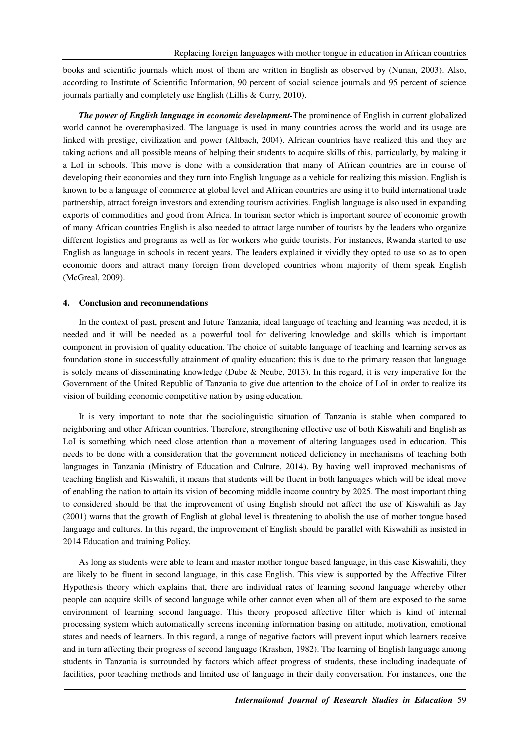books and scientific journals which most of them are written in English as observed by (Nunan, 2003). Also, according to Institute of Scientific Information, 90 percent of social science journals and 95 percent of science journals partially and completely use English (Lillis & Curry, 2010).

*The power of English language in economic development-*The prominence of English in current globalized world cannot be overemphasized. The language is used in many countries across the world and its usage are linked with prestige, civilization and power (Altbach, 2004). African countries have realized this and they are taking actions and all possible means of helping their students to acquire skills of this, particularly, by making it a LoI in schools. This move is done with a consideration that many of African countries are in course of developing their economies and they turn into English language as a vehicle for realizing this mission. English is known to be a language of commerce at global level and African countries are using it to build international trade partnership, attract foreign investors and extending tourism activities. English language is also used in expanding exports of commodities and good from Africa. In tourism sector which is important source of economic growth of many African countries English is also needed to attract large number of tourists by the leaders who organize different logistics and programs as well as for workers who guide tourists. For instances, Rwanda started to use English as language in schools in recent years. The leaders explained it vividly they opted to use so as to open economic doors and attract many foreign from developed countries whom majority of them speak English (McGreal, 2009).

### **4. Conclusion and recommendations**

In the context of past, present and future Tanzania, ideal language of teaching and learning was needed, it is needed and it will be needed as a powerful tool for delivering knowledge and skills which is important component in provision of quality education. The choice of suitable language of teaching and learning serves as foundation stone in successfully attainment of quality education; this is due to the primary reason that language is solely means of disseminating knowledge (Dube & Ncube, 2013). In this regard, it is very imperative for the Government of the United Republic of Tanzania to give due attention to the choice of LoI in order to realize its vision of building economic competitive nation by using education.

It is very important to note that the sociolinguistic situation of Tanzania is stable when compared to neighboring and other African countries. Therefore, strengthening effective use of both Kiswahili and English as LoI is something which need close attention than a movement of altering languages used in education. This needs to be done with a consideration that the government noticed deficiency in mechanisms of teaching both languages in Tanzania (Ministry of Education and Culture, 2014). By having well improved mechanisms of teaching English and Kiswahili, it means that students will be fluent in both languages which will be ideal move of enabling the nation to attain its vision of becoming middle income country by 2025. The most important thing to considered should be that the improvement of using English should not affect the use of Kiswahili as Jay (2001) warns that the growth of English at global level is threatening to abolish the use of mother tongue based language and cultures. In this regard, the improvement of English should be parallel with Kiswahili as insisted in 2014 Education and training Policy.

As long as students were able to learn and master mother tongue based language, in this case Kiswahili, they are likely to be fluent in second language, in this case English. This view is supported by the Affective Filter Hypothesis theory which explains that, there are individual rates of learning second language whereby other people can acquire skills of second language while other cannot even when all of them are exposed to the same environment of learning second language. This theory proposed affective filter which is kind of internal processing system which automatically screens incoming information basing on attitude, motivation, emotional states and needs of learners. In this regard, a range of negative factors will prevent input which learners receive and in turn affecting their progress of second language (Krashen, 1982). The learning of English language among students in Tanzania is surrounded by factors which affect progress of students, these including inadequate of facilities, poor teaching methods and limited use of language in their daily conversation. For instances, one the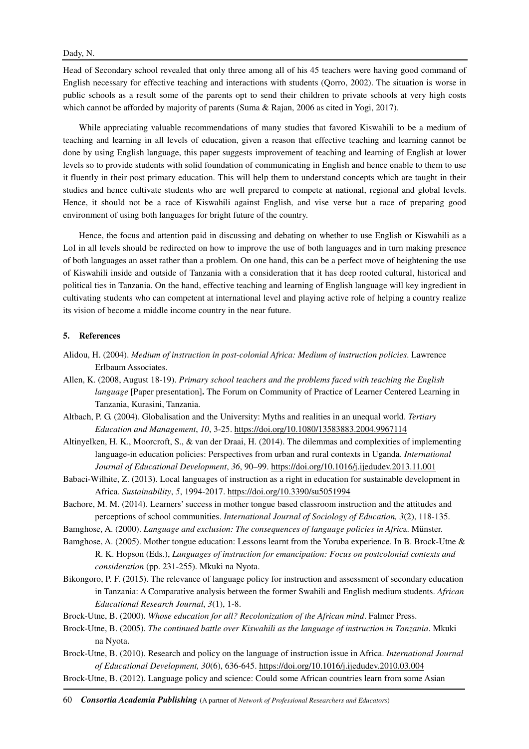### Dady, N.

Head of Secondary school revealed that only three among all of his 45 teachers were having good command of English necessary for effective teaching and interactions with students (Qorro, 2002). The situation is worse in public schools as a result some of the parents opt to send their children to private schools at very high costs which cannot be afforded by majority of parents (Suma & Rajan, 2006 as cited in Yogi, 2017).

While appreciating valuable recommendations of many studies that favored Kiswahili to be a medium of teaching and learning in all levels of education, given a reason that effective teaching and learning cannot be done by using English language, this paper suggests improvement of teaching and learning of English at lower levels so to provide students with solid foundation of communicating in English and hence enable to them to use it fluently in their post primary education. This will help them to understand concepts which are taught in their studies and hence cultivate students who are well prepared to compete at national, regional and global levels. Hence, it should not be a race of Kiswahili against English, and vise verse but a race of preparing good environment of using both languages for bright future of the country.

Hence, the focus and attention paid in discussing and debating on whether to use English or Kiswahili as a LoI in all levels should be redirected on how to improve the use of both languages and in turn making presence of both languages an asset rather than a problem. On one hand, this can be a perfect move of heightening the use of Kiswahili inside and outside of Tanzania with a consideration that it has deep rooted cultural, historical and political ties in Tanzania. On the hand, effective teaching and learning of English language will key ingredient in cultivating students who can competent at international level and playing active role of helping a country realize its vision of become a middle income country in the near future.

### **5. References**

- Alidou, H. (2004). *Medium of instruction in post-colonial Africa: Medium of instruction policies*. Lawrence Erlbaum Associates.
- Allen, K. (2008, August 18-19). *Primary school teachers and the problems faced with teaching the English language* [Paper presentation]. The Forum on Community of Practice of Learner Centered Learning in Tanzania, Kurasini, Tanzania.
- Altbach, P. G. (2004). Globalisation and the University: Myths and realities in an unequal world. *Tertiary Education and Management*, *10*, 3-25. https://doi.org/10.1080/13583883.2004.9967114
- Altinyelken, H. K., Moorcroft, S., & van der Draai, H. (2014). The dilemmas and complexities of implementing language-in education policies: Perspectives from urban and rural contexts in Uganda. *International Journal of Educational Development*, *36*, 90–99. https://doi.org/10.1016/j.ijedudev.2013.11.001
- Babaci-Wilhite, Z. (2013). Local languages of instruction as a right in education for sustainable development in Africa. *Sustainability*, *5*, 1994-2017. https://doi.org/10.3390/su5051994
- Bachore, M. M. (2014). Learners' success in mother tongue based classroom instruction and the attitudes and perceptions of school communities. *International Journal of Sociology of Education, 3*(2), 118-135.
- Bamghose, A. (2000). *Language and exclusion: The consequences of language policies in Afric*a. Münster.
- Bamghose, A. (2005). Mother tongue education: Lessons learnt from the Yoruba experience. In B. Brock-Utne & R. K. Hopson (Eds.), *Languages of instruction for emancipation: Focus on postcolonial contexts and consideration* (pp. 231-255). Mkuki na Nyota.
- Bikongoro, P. F. (2015). The relevance of language policy for instruction and assessment of secondary education in Tanzania: A Comparative analysis between the former Swahili and English medium students. *African Educational Research Journal*, *3*(1), 1-8.
- Brock-Utne, B. (2000). *Whose education for all? Recolonization of the African mind*. Falmer Press.
- Brock-Utne, B. (2005). *The continued battle over Kiswahili as the language of instruction in Tanzania*. Mkuki na Nyota.
- Brock-Utne, B. (2010). Research and policy on the language of instruction issue in Africa. *International Journal of Educational Development, 30*(6), 636-645. https://doi.org/10.1016/j.ijedudev.2010.03.004
- Brock-Utne, B. (2012). Language policy and science: Could some African countries learn from some Asian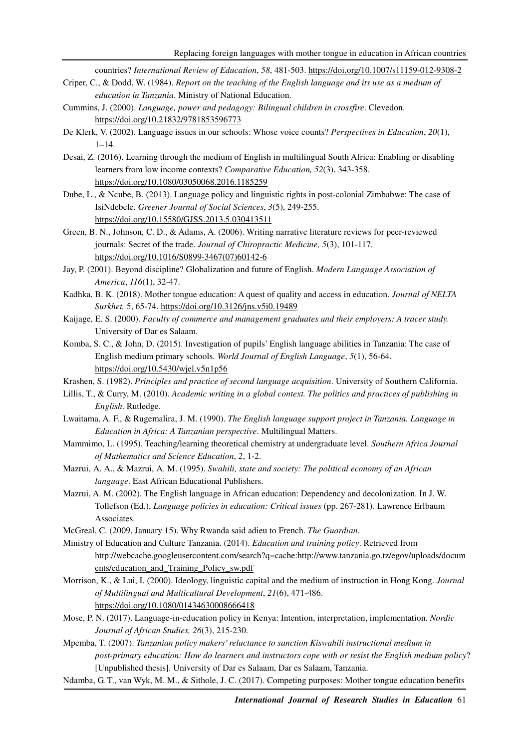countries? *International Review of Education*, *58*, 481-503. https://doi.org/10.1007/s11159-012-9308-2

- Criper, C., & Dodd, W. (1984). *Report on the teaching of the English language and its use as a medium of education in Tanzania*. Ministry of National Education.
- Cummins, J. (2000). *Language, power and pedagogy: Bilingual children in crossfire*. Clevedon. https://doi.org/10.21832/9781853596773
- De Klerk, V. (2002). Language issues in our schools: Whose voice counts? *Perspectives in Education*, *20*(1),  $1-14.$
- Desai, Z. (2016). Learning through the medium of English in multilingual South Africa: Enabling or disabling learners from low income contexts? *Comparative Education, 52*(3), 343-358. https://doi.org/10.1080/03050068.2016.1185259
- Dube, L., & Ncube, B. (2013). Language policy and linguistic rights in post-colonial Zimbabwe: The case of IsiNdebele. *Greener Journal of Social Sciences*, *3*(5), 249-255. https://doi.org/10.15580/GJSS.2013.5.030413511
- Green, B. N., Johnson, C. D., & Adams, A. (2006). Writing narrative literature reviews for peer-reviewed journals: Secret of the trade. *Journal of Chiropractic Medicine, 5*(3), 101-117. https://doi.org/10.1016/S0899-3467(07)60142-6
- Jay, P. (2001). Beyond discipline? Globalization and future of English. *Modern Language Association of America*, *116*(1), 32-47.
- Kadhka, B. K. (2018). Mother tongue education: A quest of quality and access in education. *Journal of NELTA Surkhet,* 5, 65-74. https://doi.org/10.3126/jns.v5i0.19489
- Kaijage, E. S. (2000). *Faculty of commerce and management graduates and their employers: A tracer study.*  University of Dar es Salaam.
- Komba, S. C., & John, D. (2015). Investigation of pupils' English language abilities in Tanzania: The case of English medium primary schools. *World Journal of English Language*, *5*(1), 56-64. https://doi.org/10.5430/wjel.v5n1p56
- Krashen, S. (1982). *Principles and practice of second language acquisition*. University of Southern California.
- Lillis, T., & Curry, M. (2010). *Academic writing in a global context. The politics and practices of publishing in English*. Rutledge.
- Lwaitama, A. F., & Rugemalira, J. M. (1990). *The English language support project in Tanzania. Language in Education in Africa: A Tanzanian perspective*. Multilingual Matters.
- Mammimo, L. (1995). Teaching/learning theoretical chemistry at undergraduate level. *Southern Africa Journal of Mathematics and Science Education*, *2*, 1-2.
- Mazrui, A. A., & Mazrui, A. M. (1995). *Swahili, state and society: The political economy of an African language*. East African Educational Publishers.
- Mazrui, A. M. (2002). The English language in African education: Dependency and decolonization. In J. W. Tollefson (Ed.), *Language policies in education: Critical issues* (pp. 267-281)*.* Lawrence Erlbaum Associates.
- McGreal, C. (2009, January 15). Why Rwanda said adieu to French. *The Guardian.*

Ministry of Education and Culture Tanzania. (2014). *Education and training policy*. Retrieved from http://webcache.googleusercontent.com/search?q=cache:http://www.tanzania.go.tz/egov/uploads/docum ents/education\_and\_Training\_Policy\_sw.pdf

- Morrison, K., & Lui, I. (2000). Ideology, linguistic capital and the medium of instruction in Hong Kong. *Journal of Multilingual and Multicultural Development*, *21*(6), 471-486. https://doi.org/10.1080/01434630008666418
- Mose, P. N. (2017). Language-in-education policy in Kenya: Intention, interpretation, implementation. *Nordic Journal of African Studies, 26*(3), 215-230.

Mpemba, T. (2007). *Tanzanian policy makers' reluctance to sanction Kiswahili instructional medium in post-primary education: How do learners and instructors cope with or resist the English medium policy*? [Unpublished thesis]. University of Dar es Salaam, Dar es Salaam, Tanzania.

Ndamba, G. T., van Wyk, M. M., & Sithole, J. C. (2017). Competing purposes: Mother tongue education benefits